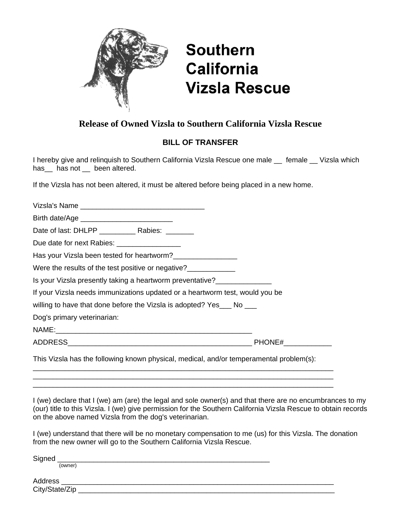

## **Southern California Vizsla Rescue**

## **Release of Owned Vizsla to Southern California Vizsla Rescue**

## **BILL OF TRANSFER**

I hereby give and relinquish to Southern California Vizsla Rescue one male \_\_ female \_\_ Vizsla which has has not been altered.

If the Vizsla has not been altered, it must be altered before being placed in a new home.

| Due date for next Rabies: ____________________                                          |  |  |
|-----------------------------------------------------------------------------------------|--|--|
| Has your Vizsla been tested for heartworm?                                              |  |  |
| Were the results of the test positive or negative?____________                          |  |  |
| Is your Vizsla presently taking a heartworm preventative?                               |  |  |
| If your Vizsla needs immunizations updated or a heartworm test, would you be            |  |  |
| willing to have that done before the Vizsla is adopted? Yes ___ No ___                  |  |  |
| Dog's primary veterinarian:                                                             |  |  |
|                                                                                         |  |  |
|                                                                                         |  |  |
| This Vizsla has the following known physical, medical, and/or temperamental problem(s): |  |  |

\_\_\_\_\_\_\_\_\_\_\_\_\_\_\_\_\_\_\_\_\_\_\_\_\_\_\_\_\_\_\_\_\_\_\_\_\_\_\_\_\_\_\_\_\_\_\_\_\_\_\_\_\_\_\_\_\_\_\_\_\_\_\_\_\_\_\_\_\_\_\_\_\_\_\_ \_\_\_\_\_\_\_\_\_\_\_\_\_\_\_\_\_\_\_\_\_\_\_\_\_\_\_\_\_\_\_\_\_\_\_\_\_\_\_\_\_\_\_\_\_\_\_\_\_\_\_\_\_\_\_\_\_\_\_\_\_\_\_\_\_\_\_\_\_\_\_\_\_\_\_ \_\_\_\_\_\_\_\_\_\_\_\_\_\_\_\_\_\_\_\_\_\_\_\_\_\_\_\_\_\_\_\_\_\_\_\_\_\_\_\_\_\_\_\_\_\_\_\_\_\_\_\_\_\_\_\_\_\_\_\_\_\_\_\_\_\_\_\_\_\_\_\_\_\_\_

I (we) declare that I (we) am (are) the legal and sole owner(s) and that there are no encumbrances to my (our) title to this Vizsla. I (we) give permission for the Southern California Vizsla Rescue to obtain records on the above named Vizsla from the dog's veterinarian.

I (we) understand that there will be no monetary compensation to me (us) for this Vizsla. The donation from the new owner will go to the Southern California Vizsla Rescue.

Signed \_\_\_\_\_\_\_\_\_\_\_\_\_\_\_\_\_\_\_\_\_\_\_\_\_\_\_\_\_\_\_\_\_\_\_\_\_\_\_\_\_\_\_\_\_\_\_\_\_\_\_\_\_

(owner)

Address \_\_\_\_\_\_\_\_\_\_\_\_\_\_\_\_\_\_\_\_\_\_\_\_\_\_\_\_\_\_\_\_\_\_\_\_\_\_\_\_\_\_\_\_\_\_\_\_\_\_\_\_\_\_\_\_\_\_\_\_\_\_\_\_\_\_\_\_ City/State/Zip \_\_\_\_\_\_\_\_\_\_\_\_\_\_\_\_\_\_\_\_\_\_\_\_\_\_\_\_\_\_\_\_\_\_\_\_\_\_\_\_\_\_\_\_\_\_\_\_\_\_\_\_\_\_\_\_\_\_\_\_\_\_\_\_